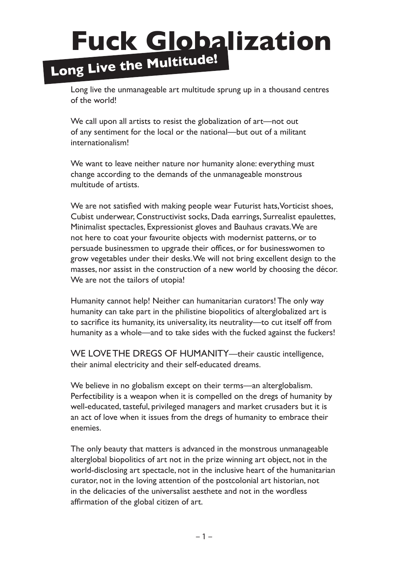# **Fuck Globalization Long Live the Multitude!**

Long live the unmanageable art multitude sprung up in a thousand centres of the world!

We call upon all artists to resist the globalization of art—not out of any sentiment for the local or the national—but out of a militant internationalism!

We want to leave neither nature nor humanity alone: everything must change according to the demands of the unmanageable monstrous multitude of artists.

We are not satisfied with making people wear Futurist hats, Vorticist shoes, Cubist underwear, Constructivist socks, Dada earrings, Surrealist epaulettes, Minimalist spectacles, Expressionist gloves and Bauhaus cravats. We are not here to coat your favourite objects with modernist patterns, or to persuade businessmen to upgrade their offices, or for businesswomen to grow vegetables under their desks. We will not bring excellent design to the masses, nor assist in the construction of a new world by choosing the décor. We are not the tailors of utopia!

Humanity cannot help! Neither can humanitarian curators! The only way humanity can take part in the philistine biopolitics of alterglobalized art is to sacrifice its humanity, its universality, its neutrality—to cut itself off from humanity as a whole—and to take sides with the fucked against the fuckers!

WE LOVE THE DREGS OF HUMANITY—their caustic intelligence, their animal electricity and their self-educated dreams.

We believe in no globalism except on their terms—an alterglobalism. Perfectibility is a weapon when it is compelled on the dregs of humanity by well-educated, tasteful, privileged managers and market crusaders but it is an act of love when it issues from the dregs of humanity to embrace their enemies.

The only beauty that matters is advanced in the monstrous unmanageable alterglobal biopolitics of art not in the prize winning art object, not in the world-disclosing art spectacle, not in the inclusive heart of the humanitarian curator, not in the loving attention of the postcolonial art historian, not in the delicacies of the universalist aesthete and not in the wordless affirmation of the global citizen of art.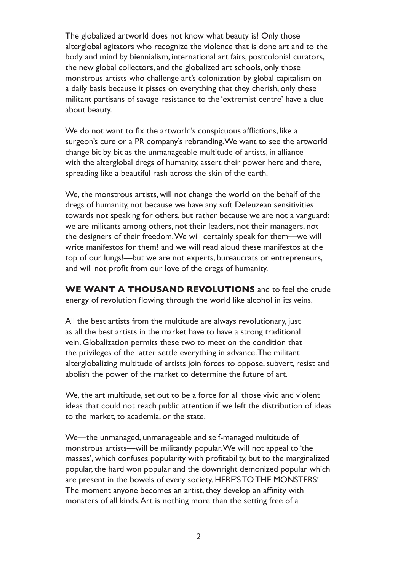The globalized artworld does not know what beauty is! Only those alterglobal agitators who recognize the violence that is done art and to the body and mind by biennialism, international art fairs, postcolonial curators, the new global collectors, and the globalized art schools, only those monstrous artists who challenge art's colonization by global capitalism on a daily basis because it pisses on everything that they cherish, only these militant partisans of savage resistance to the 'extremist centre' have a clue about beauty.

We do not want to fix the artworld's conspicuous afflictions, like a surgeon's cure or a PR company's rebranding. We want to see the artworld change bit by bit as the unmanageable multitude of artists, in alliance with the alterglobal dregs of humanity, assert their power here and there, spreading like a beautiful rash across the skin of the earth.

We, the monstrous artists, will not change the world on the behalf of the dregs of humanity, not because we have any soft Deleuzean sensitivities towards not speaking for others, but rather because we are not a vanguard: we are militants among others, not their leaders, not their managers, not the designers of their freedom. We will certainly speak for them—we will write manifestos for them! and we will read aloud these manifestos at the top of our lungs!—but we are not experts, bureaucrats or entrepreneurs, and will not profit from our love of the dregs of humanity.

**WE WANT A THOUSAND REVOLUTIONS** and to feel the crude energy of revolution flowing through the world like alcohol in its veins.

All the best artists from the multitude are always revolutionary, just as all the best artists in the market have to have a strong traditional vein. Globalization permits these two to meet on the condition that the privileges of the latter settle everything in advance. The militant alterglobalizing multitude of artists join forces to oppose, subvert, resist and abolish the power of the market to determine the future of art.

We, the art multitude, set out to be a force for all those vivid and violent ideas that could not reach public attention if we left the distribution of ideas to the market, to academia, or the state.

We—the unmanaged, unmanageable and self-managed multitude of monstrous artists—will be militantly popular. We will not appeal to 'the masses', which confuses popularity with profitability, but to the marginalized popular, the hard won popular and the downright demonized popular which are present in the bowels of every society. HERE'S TO THE MONSTERS! The moment anyone becomes an artist, they develop an affinity with monsters of all kinds. Art is nothing more than the setting free of a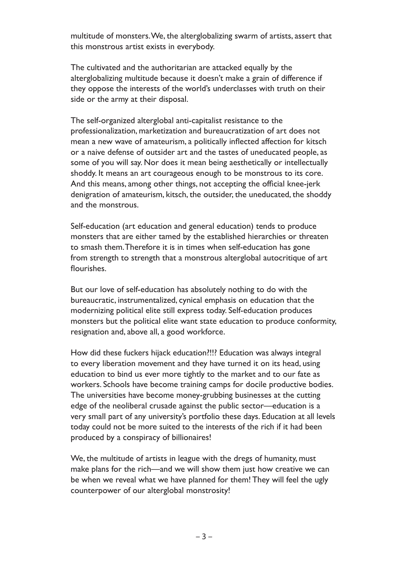multitude of monsters. We, the alterglobalizing swarm of artists, assert that this monstrous artist exists in everybody.

The cultivated and the authoritarian are attacked equally by the alterglobalizing multitude because it doesn't make a grain of difference if they oppose the interests of the world's underclasses with truth on their side or the army at their disposal.

The self-organized alterglobal anti-capitalist resistance to the professionalization, marketization and bureaucratization of art does not mean a new wave of amateurism, a politically inflected affection for kitsch or a naive defense of outsider art and the tastes of uneducated people, as some of you will say. Nor does it mean being aesthetically or intellectually shoddy. It means an art courageous enough to be monstrous to its core. And this means, among other things, not accepting the official knee-jerk denigration of amateurism, kitsch, the outsider, the uneducated, the shoddy and the monstrous.

Self-education (art education and general education) tends to produce monsters that are either tamed by the established hierarchies or threaten to smash them. Therefore it is in times when self-education has gone from strength to strength that a monstrous alterglobal autocritique of art flourishes.

But our love of self-education has absolutely nothing to do with the bureaucratic, instrumentalized, cynical emphasis on education that the modernizing political elite still express today. Self-education produces monsters but the political elite want state education to produce conformity, resignation and, above all, a good workforce.

How did these fuckers hijack education?!!? Education was always integral to every liberation movement and they have turned it on its head, using education to bind us ever more tightly to the market and to our fate as workers. Schools have become training camps for docile productive bodies. The universities have become money-grubbing businesses at the cutting edge of the neoliberal crusade against the public sector—education is a very small part of any university's portfolio these days. Education at all levels today could not be more suited to the interests of the rich if it had been produced by a conspiracy of billionaires!

We, the multitude of artists in league with the dregs of humanity, must make plans for the rich—and we will show them just how creative we can be when we reveal what we have planned for them! They will feel the ugly counterpower of our alterglobal monstrosity!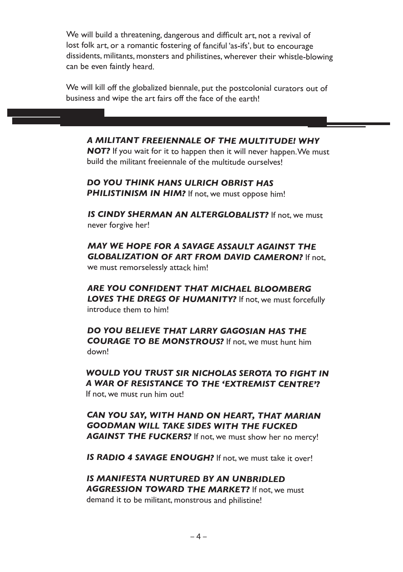We will build a threatening, dangerous and difficult art, not a revival of lost folk art, or a romantic fostering of fanciful 'as-ifs', but to encourage dissidents, militants, monsters and philistines, wherever their whistle-blowing can be even faintly heard.

We will kill off the globalized biennale, put the postcolonial curators out of business and wipe the art fairs off the face of the earth!

#### *A MILITANT FREEIENNALE OF THE MULTITUDE! WHY*

**NOT?** If you wait for it to happen then it will never happen. We must build the militant freeiennale of the multitude ourselves!

 *DO YOU THINK HANS ULRICH OBRIST HAS*  **PHILISTINISM IN HIM?** If not, we must oppose him!

*IS* CINDY SHERMAN AN ALTERGLOBALIST? If not, we must never forgive her!

 *MAY WE HOPE FOR A SAVAGE ASSAULT AGAINST THE GLOBALIZATION OF ART FROM DAVID CAMERON?* If not,

we must remorselessly attack him!

 *ARE YOU CONFIDENT THAT MICHAEL BLOOMBERG LOVES THE DREGS OF HUMANITY?* If not, we must forcefully introduce them to him!

 *DO YOU BELIEVE THAT LARRY GAGOSIAN HAS THE COURAGE TO BE MONSTROUS?* If not, we must hunt him down!

 *WOULD YOU TRUST SIR NICHOLAS SEROTA TO FIGHT IN A WAR OF RESISTANCE TO THE 'EXTREMIST CENTRE'?* If not, we must run him out!

 *CAN YOU SAY, WITH HAND ON HEART, THAT MARIAN GOODMAN WILL TAKE SIDES WITH THE FUCKED* AGAINST THE FUCKERS? If not, we must show her no mercy!

 *IS RADIO 4 SAVAGE ENOUGH?* If not, we must take it over!

 *IS MANIFESTA NURTURED BY AN UNBRIDLED AGGRESSION TOWARD THE MARKET?* If not, we must demand it to be militant, monstrous and philistine!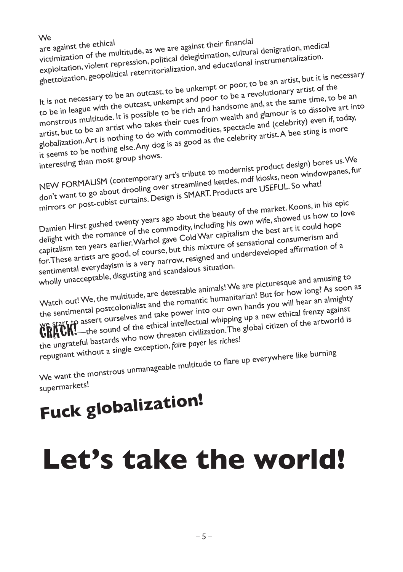We<br>are against the ethical victimization of the multitude, as we are against their financial<br>victimization of the multitude, as we are against their financial<br>exploitation, violent repression, political delegitimation, cultural instrumentalization.<br> ghettoization, geopolitical reterritorialization, and educational instrumentalization.

It is not necessary to be an outcast, to be unkempt or poor, to be an artist, but it is necessary to be in league with the outcast, unkempt and poor to be a revolutionary artist of the monstrous multitude. It is possible to be rich and handsome and, at the same time, to be an monstrous multitude. It is possible to be rich and handsome and, at the same time, to be an artist, but to be an artist who takes their cues from wealth and glamour is to dissolve art into globalization. Art is nothing to do with commodities, spectacle and (celebrity) even if, today, it seems to be nothing else. Any dog is as good as the celebrity artist. A bee sting is more

interesting than most group shows.

NEW FORMALISM (contemporary art's tribute to modernist product design) bores us. We don't want to go about drooling over streamlined kettles, mdf kiosks, neon windowpanes, fur mirrors or post-cubist curtains. Design is SMART. Products are USEFUL. So what!

Damien Hirst gushed twenty years ago about the beauty of the market. Koons, in his epic delight with the romance of the commodity, including his own wife, showed us how to love capitalism ten years earlier. Warhol gave Cold War capitalism the best art it could hope for. These artists are good, of course, but this mixture of sensational consumerism and for. These artists are good, of course, but this mixture of sensational consumerism and sentimental everydayism is a very narrow, resigned and underdeveloped affirmation of a wholly unacceptable, disgusting and scandalous situation.

Watch out! We, the multitude, are detestable animals! We are picturesque and amusing to the sentimental postcolonialist and the romantic humanitarian! But for how long? As soon as Watch out! We, the multitude, are to community but in the sentimental postcolonialist and the romantic humanitarian: But it will hear an almighty<br>the sentimental postcolonialist and take power into our own hands you will h the sentimental postcolonialse and take power into our own hands yet ethical frenzy against<br>We start to assert ourselves and take power into our own hands yet ethical frenzy against<br>WRTCM.—the sound of the ethical intellec the ungrateful bastards who now threaten civilization. The global citizen of the artworld is the ungrateful bastards who now threaten civilization. The global citizen of the artworld is repugnant without a single exception, *faire payer les riches!*

We want the monstrous unmanageable multitude to flare up everywhere like burning supermarkets!

# **Fuck globalization!**

# **Let's take the world!**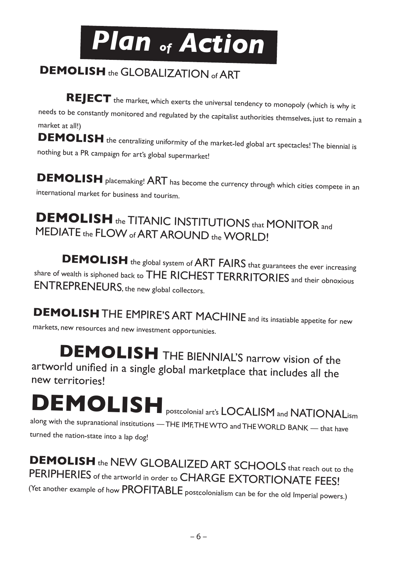

#### **DEMOLISH** the GLOBALIZATION of ART

**REJECT** the market, which exerts the universal tendency to monopoly (which is why it needs to be constantly monitored and regulated by the capitalist authorities themselves, just to remain a market at all!)

DEMOLISH the centralizing uniformity of the market-led global art spectacles! The biennial is nothing but a PR campaign for art's global supermarket!

**DEMOLISH** placemaking! ART has become the currency through which cities compete in an international market for business and tourism.

#### **DEMOLISH** the TITANIC INSTITUTIONS that MONITOR and MEDIATE the FLOW of ART AROUND the WORLD!

**DEMOLISH** the global system of ART FAIRS that guarantees the ever increasing share of wealth is siphoned back to THE RICHEST TERRRITORIES and their obnoxious ENTREPRENEURS, the new global collectors.

**DEMOLISH** THE EMPIRE'S ART MACHINE and its insatiable appetite for new markets, new resources and new investment opportunities.

**DEMOLISH** THE BIENNIAL'S narrow vision of the artworld unified in a single global marketplace that includes all the new territories!

**DEMOLISH** postcolonial art's LOCALISM and NATIONALism along with the supranational institutions — THE IMF, THE WTO and THE WORLD BANK — that have turned the nation-state into a lap dog!

**DEMOLISH** the NEW GLOBALIZED ART SCHOOLS that reach out to the PERIPHERIES of the artworld in order to CHARGE EXTORTIONATE FEES! (Yet another example of how PROFITABLE postcolonialism can be for the old Imperial powers.)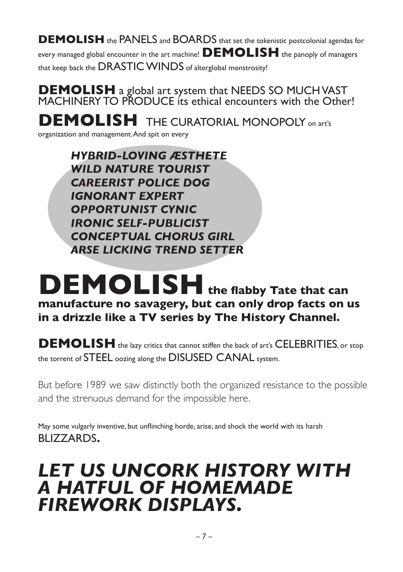**DEMOLISH** the PANELS and BOARDS that set the tokenistic postcolonial agendas for every managed global encounter in the art machine! **DEMOLISH** the panoply of managers that keep back the DRASTIC WINDS of alterglobal monstrosity!

**DEMOLISH** a global art system that NEEDS SO MUCH VAST<br>MACHINERY TO PRODUCE its ethical encounters with the Other!

**DEMOLISH** THE CURATORIAL MONOPOLY on art's

organization and management. And spit on every

*HYBRID-LOVING ÆSTHETE WILD NATURE TOURIST CAREERIST POLICE DOG IGNORANT EXPERT OPPORTUNIST CYNIC IRONIC SELF-PUBLICIST CONCEPTUAL CHORUS GIRL ARSE LICKING TREND SETTER*

## **DEMOLISH** the flabby Tate that can **manufacture no savagery, but can only drop facts on us in a drizzle like a TV series by The History Channel.**

**DEMOLISH** the lazy critics that cannot stiffen the back of art's CELEBRITIES, or stop the torrent of STEEL oozing along the DISUSED CANAL system.

But before 1989 we saw distinctly both the organized resistance to the possible and the strenuous demand for the impossible here.

May some vulgarly inventive, but unflinching horde, arise, and shock the world with its harsh BLIZZARDS.

## *LET US UNCORK HISTORY WITH A HATFUL OF HOMEMADE FIREWORK DISPLAYS.*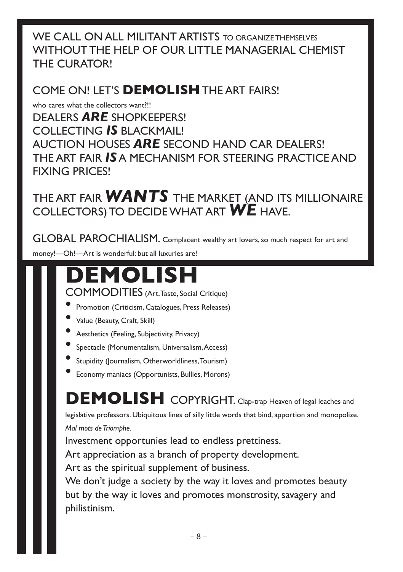WE CALL ON ALL MILITANT ARTISTS TO ORGANIZE THEMSELVES WITHOUT THE HELP OF OUR LITTLE MANAGERIAL CHEMIST THE CURATOR!

#### COME ON! LET'S **DEMOLISH** THE ART FAIRS!

who cares what the collectors want?!! DEALERS *ARE* SHOPKEEPERS! COLLECTING *IS* BLACKMAIL! AUCTION HOUSES *ARE* SECOND HAND CAR DEALERS! THE ART FAIR *IS* A MECHANISM FOR STEERING PRACTICE AND FIXING PRICES!

THE ART FAIR *WANTS* THE MARKET (AND ITS MILLIONAIRE COLLECTORS) TO DECIDE WHAT ART *WE* HAVE.

GLOBAL PAROCHIALISM. Complacent wealthy art lovers, so much respect for art and money!—Oh!—Art is wonderful: but all luxuries are!

# **DEMOLISH**

COMMODITIES (Art, Taste, Social Critique)

- Promotion (Criticism, Catalogues, Press Releases)
- Value (Beauty, Craft, Skill)
- Aesthetics (Feeling, Subjectivity, Privacy)
- Spectacle (Monumentalism, Universalism, Access)
- Stupidity (Journalism, Otherworldliness, Tourism)
- Economy maniacs (Opportunists, Bullies, Morons)

**DEMOLISH** COPYRIGHT. Clap-trap Heaven of legal leaches and

legislative professors. Ubiquitous lines of silly little words that bind, apportion and monopolize. *Mal mots de Triomphe.*

Investment opportunies lead to endless prettiness.

Art appreciation as a branch of property development.

Art as the spiritual supplement of business.

We don't judge a society by the way it loves and promotes beauty but by the way it loves and promotes monstrosity, savagery and philistinism.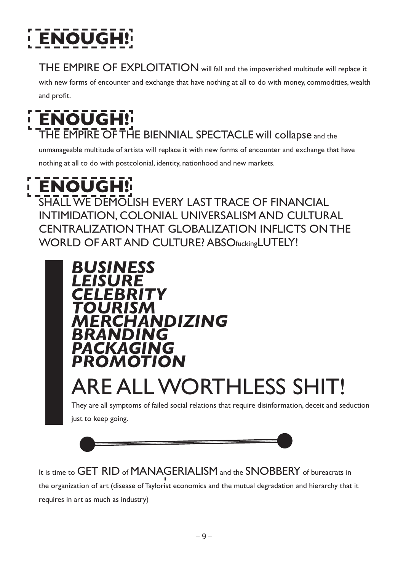# **ENOUG**

THE EMPIRE OF EXPLOITATION will fall and the impoverished multitude will replace it

with new forms of encounter and exchange that have nothing at all to do with money, commodities, wealth

and profit.

# **ENOUGH!**

THE EMPIRE OF THE BIENNIAL SPECTACLE will collapse and the

unmanageable multitude of artists will replace it with new forms of encounter and exchange that have nothing at all to do with postcolonial, identity, nationhood and new markets.

#### **ENOUGH!** f,

SHALL WE DEMOLISH EVERY LAST TRACE OF FINANCIAL INTIMIDATION, COLONIAL UNIVERSALISM AND CULTURAL CENTRALIZATION THAT GLOBALIZATION INFLICTS ON THE WORLD OF ART AND CULTURE? ABSOfuckingLUTELY!





It is time to GET RID of MANAGERIALISM and the SNOBBERY of bureacrats in the organization of art (disease of Taylorist economics and the mutual degradation and hierarchy that it requires in art as much as industry)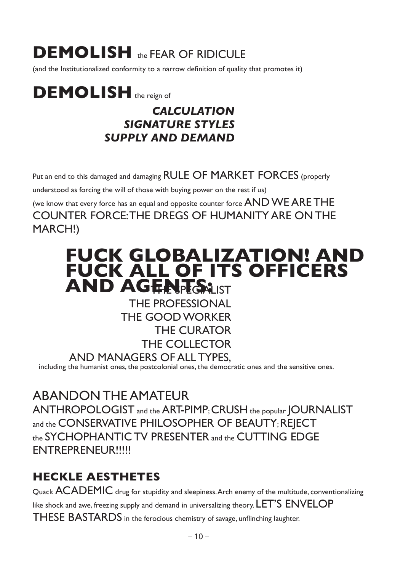# **DEMOLISH** the FEAR OF RIDICULE

(and the Institutionalized conformity to a narrow definition of quality that promotes it)

# **DEMOLISH** the reign of

#### *CALCULATION SIGNATURE STYLES SUPPLY AND DEMAND*

Put an end to this damaged and damaging RULE OF MARKET FORCES (properly understood as forcing the will of those with buying power on the rest if us) (we know that every force has an equal and opposite counter force AND WE ARE THE COUNTER FORCE: THE DREGS OF HUMANITY ARE ON THE MARCH!)

## **FUCK GLOBALIZATION! AND FUCK ALL OF ITS OFFICERS AND AGENTS:LIST**

THE PROFESSIONAL THE GOOD WORKER THE CURATOR THE COLLECTOR AND MANAGERS OF ALL TYPES,

including the humanist ones, the postcolonial ones, the democratic ones and the sensitive ones.

ABANDON THE AMATEUR

ANTHROPOLOGIST and the ART-PIMP; CRUSH the popular JOURNALIST and the CONSERVATIVE PHILOSOPHER OF BEAUTY; REJECT the SYCHOPHANTIC TV PRESENTER and the CUTTING EDGE ENTREPRENEUR!!!!!

#### **HECKLE AESTHETES**

Quack  $ACADEMIC$  drug for stupidity and sleepiness. Arch enemy of the multitude, conventionalizing like shock and awe, freezing supply and demand in universalizing theory. LET'S ENVELOP THESE BASTARDS in the ferocious chemistry of savage, unflinching laughter.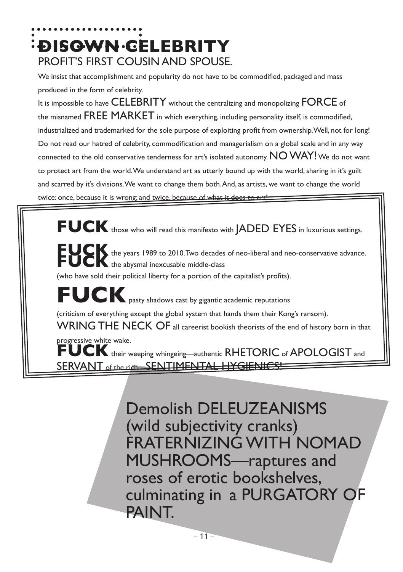# **DISOWN CELEBRITY** PROFIT'S FIRST COUSIN AND SPOUSE.

We insist that accomplishment and popularity do not have to be commodified, packaged and mass produced in the form of celebrity.

It is impossible to have CELEBRITY without the centralizing and monopolizing FORCE of the misnamed FREE MARKET in which everything, including personality itself, is commodified, industrialized and trademarked for the sole purpose of exploiting profit from ownership. Well, not for long! Do not read our hatred of celebrity, commodification and managerialism on a global scale and in any way connected to the old conservative tenderness for art's isolated autonomy. NO WAY! We do not want to protect art from the world. We understand art as utterly bound up with the world, sharing in it's guilt and scarred by it's divisions. We want to change them both. And, as artists, we want to change the world twice: once, because it is wrong; and twice, because of what it does to arth

**FUCK** those who will read this manifesto with JADED EYES in luxurious settings. **FUCK** the years 1989 to 2010. Two decades of neo-liberal and neo-conservative advance. **FUCK** the abysmal inexcusable middle-class (who have sold their political liberty for a portion of the capitalist's profits). **FUCK** pasty shadows cast by gigantic academic reputations (criticism of everything except the global system that hands them their Kong's ransom). WRING THE NECK OF all careerist bookish theorists of the end of history born in that progressive white wake. **FUCK** their weeping whingeing—authentic RHETORIC of APOLOGIST and SERVANT of the rich—SENTIMENTAL HYGIENICS

> Demolish DELEUZEANISMS (wild subjectivity cranks) FRATERNIZING WITH NOMAD MUSHROOMS—raptures and roses of erotic bookshelves, culminating in a PURGATORY OF PAINT.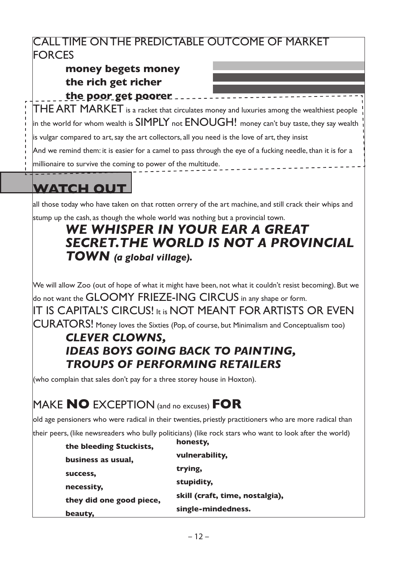#### CALL TIME ON THE PREDICTABLE OUTCOME OF MARKET **FORCES**

#### **money begets money the rich get richer**

**the poor get poorer** \_\_\_\_\_\_\_\_\_\_\_\_\_\_\_\_\_\_\_\_\_\_\_\_  $\mathsf{THE}$  ART MARKET is a racket that circulates money and luxuries among the wealthiest people  $\parallel$  in the world for whom wealth is SIMPLY not ENOUGH! money can't buy taste, they say wealth is vulgar compared to art, say the art collectors, all you need is the love of art, they insist And we remind them: it is easier for a camel to pass through the eye of a fucking needle, than it is for a

millionaire to survive the coming to power of the multitude.

### **WATCH OUT**

all those today who have taken on that rotten orrery of the art machine, and still crack their whips and stump up the cash, as though the whole world was nothing but a provincial town.

#### *WE WHISPER IN YOUR EAR A GREAT SECRET.THE WORLD IS NOT A PROVINCIAL TOWN (a global village).*

We will allow Zoo (out of hope of what it might have been, not what it couldn't resist becoming). But we do not want the GLOOMY FRIEZE-ING CIRCUS in any shape or form. IT IS CAPITAL'S CIRCUS! It is NOT MEANT FOR ARTISTS OR EVEN CURATORS! Money loves the Sixties (Pop, of course, but Minimalism and Conceptualism too)

#### *CLEVER CLOWNS, IDEAS BOYS GOING BACK TO PAINTING, TROUPS OF PERFORMING RETAILERS*

(who complain that sales don't pay for a three storey house in Hoxton).

#### MAKE **NO** EXCEPTION (and no excuses) **FOR**

old age pensioners who were radical in their twenties, priestly practitioners who are more radical than

their peers, (like newsreaders who bully politicians) (like rock stars who want to look after the world)

| the bleeding Stuckists,  | honesty,                        |
|--------------------------|---------------------------------|
| business as usual,       | vulnerability,                  |
| success,                 | trying,                         |
| necessity,               | stupidity,                      |
|                          | skill (craft, time, nostalgia), |
| they did one good piece, | single-mindedness.              |
| beauty,                  |                                 |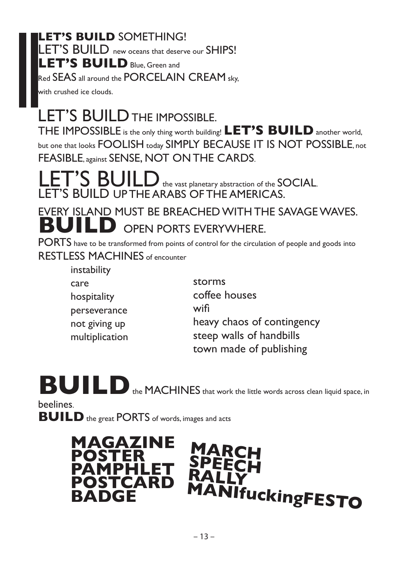#### **LET'S BUILD** SOMETHING! LET'S BUILD new oceans that deserve our SHIPS! **LET'S BUILD** Blue, Green and Red SEAS all around the PORCELAIN CREAM sky.

with crushed ice clouds.

## LET'S BUILD THE IMPOSSIBLE.

THE IMPOSSIBLE is the only thing worth building! **LET'S BUILD** another world, but one that looks FOOLISH today SIMPLY BECAUSE IT IS NOT POSSIBLE, not FEASIBLE. against SENSE, NOT ON THE CARDS.

S BUILD the vast planetary abstraction of the SOCIAL. LET'S BUILD UP THE ARABS OF THE AMERICAS.

EVERY ISLAND MUST BE BREACHED WITH THE SAVAGE WAVES. **BUILD** OPEN PORTS EVERYWHERE.

PORTS have to be transformed from points of control for the circulation of people and goods into RESTLESS MACHINES of encounter

> instability care hospitality perseverance not giving up multiplication

storms coffee houses wifi heavy chaos of contingency steep walls of handbills town made of publishing

**BUILD** the MACHINES that work the little words across clean liquid space, in

beelines.

**BUILD** the great PORTS of words, images and acts

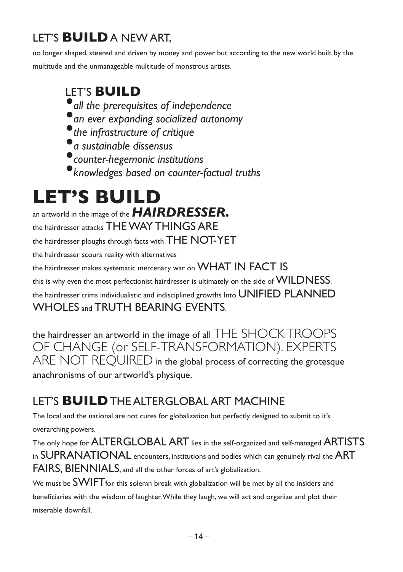#### LET'S **BUILD** A NEW ART,

no longer shaped, steered and driven by money and power but according to the new world built by the multitude and the unmanageable multitude of monstrous artists.

#### LET'S **BUILD**

- *•all the prerequisites of independence*
- *•an ever expanding socialized autonomy*
- *•the infrastructure of critique*
- *•a sustainable dissensus*
- *•counter-hegemonic institutions*
- *•knowledges based on counter-factual truths*

# **LET'S BUILD**

an artworld in the image of the *HAIRDRESSER.*

the hairdresser attacks THE WAY THINGS ARE

the hairdresser ploughs through facts with THE NOT-YET

the hairdresser scours reality with alternatives

the hairdresser makes systematic mercenary war on WHAT IN FACT IS

this is why even the most perfectionist hairdresser is ultimately on the side of WILDNESS.

the hairdresser trims individualistic and indisciplined growths Into UNIFIED PLANNED

#### WHOLES and TRUTH BEARING EVENTS.

the hairdresser an artworld in the image of all THE SHOCK TROOPS OF CHANGE (or SELF-TRANSFORMATION). EXPERTS ARE NOT REOUIRED in the global process of correcting the grotesque anachronisms of our artworld's physique.

#### LET'S **BUILD** THE ALTERGLOBAL ART MACHINE

The local and the national are not cures for globalization but perfectly designed to submit to it's overarching powers.

The only hope for ALTERGLOBAL ART lies in the self-organized and self-managed ARTISTS in SUPRANATIONAL encounters, institutions and bodies which can genuinely rival the ART FAIRS, BIENNIALS, and all the other forces of art's globalization.

We must be **SWIFT** for this solemn break with globalization will be met by all the insiders and beneficiaries with the wisdom of laughter. While they laugh, we will act and organize and plot their miserable downfall.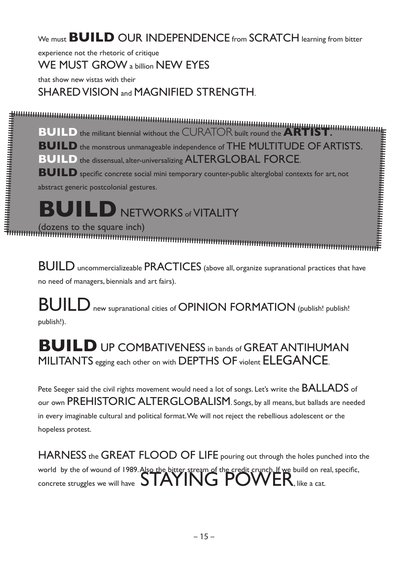#### We must **BUILD** OUR INDEPENDENCE from SCRATCH learning from bitter

experience not the rhetoric of critique

WE MUST GROW a billion NEW EYES

that show new vistas with their

SHARED VISION and MAGNIFIED STRENGTH.

**BUILD** the militant biennial without the CURATOR built round the **ARTIST.** 

**BUILD** the monstrous unmanageable independence of THE MULTITUDE OF ARTISTS.

**BUILD** the dissensual, alter-universalizing ALTERGLOBAL FORCE.

**BUILD** specific concrete social mini temporary counter-public alterglobal contexts for art, not abstract generic postcolonial gestures.

**BUILD** NETWORKS of VITALITY

(dozens to the square inch)

BUILD uncommercializeable PRACTICES (above all, organize supranational practices that have no need of managers, biennials and art fairs).

BUILD new supranational cities of OPINION FORMATION (publish! publish! publish!).

#### **BUILD** UP COMBATIVENESS in bands of GREAT ANTIHUMAN MILITANTS egging each other on with DEPTHS OF violent ELEGANCE.

Pete Seeger said the civil rights movement would need a lot of songs. Let's write the BALLADS of our own PREHISTORIC ALTERGLOBALISM. Songs, by all means, but ballads are needed in every imaginable cultural and political format. We will not reject the rebellious adolescent or the hopeless protest.

HARNESS the GREAT FLOOD OF LIFE pouring out through the holes punched into the world by the of wound of 1989. Also the bitter stream of the credit crunch. If we build on real, specific, concrete struggles we will have  $S$  MAYING  $\mathsf{POWER}$ , like a cat.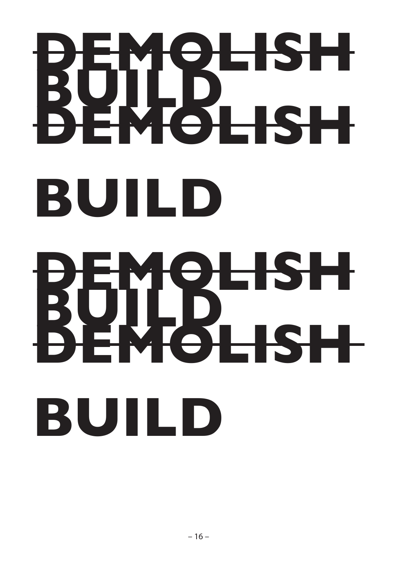# **DEMOLISH BUILD DEMOLISH BUILD BEMOLISH BUILD**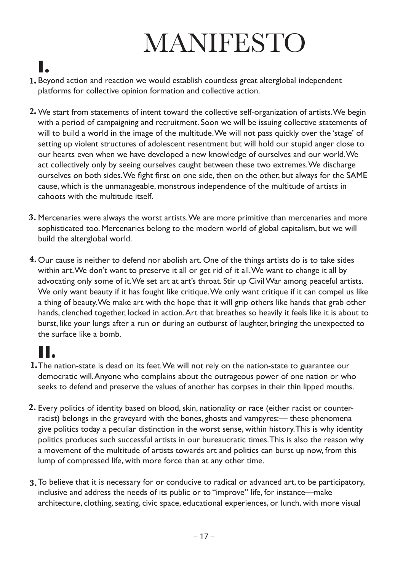# MANIFESTO

# **I.**

- 1. Beyond action and reaction we would establish countless great alterglobal independent platforms for collective opinion formation and collective action.
- We start from statements of intent toward the collective self-organization of artists. We begin **2.** with a period of campaigning and recruitment. Soon we will be issuing collective statements of will to build a world in the image of the multitude. We will not pass quickly over the 'stage' of setting up violent structures of adolescent resentment but will hold our stupid anger close to our hearts even when we have developed a new knowledge of ourselves and our world. We act collectively only by seeing ourselves caught between these two extremes. We discharge ourselves on both sides. We fight first on one side, then on the other, but always for the SAME cause, which is the unmanageable, monstrous independence of the multitude of artists in cahoots with the multitude itself.
- Mercenaries were always the worst artists. We are more primitive than mercenaries and more **3.** sophisticated too. Mercenaries belong to the modern world of global capitalism, but we will build the alterglobal world.
- **4.** Our cause is neither to defend nor abolish art. One of the things artists do is to take sides within art. We don't want to preserve it all or get rid of it all. We want to change it all by advocating only some of it. We set art at art's throat. Stir up Civil War among peaceful artists. We only want beauty if it has fought like critique. We only want critique if it can compel us like a thing of beauty. We make art with the hope that it will grip others like hands that grab other hands, clenched together, locked in action. Art that breathes so heavily it feels like it is about to burst, like your lungs after a run or during an outburst of laughter, bringing the unexpected to the surface like a bomb.

## **II.**

- The nation-state is dead on its feet. We will not rely on the nation-state to guarantee our **1.** democratic will. Anyone who complains about the outrageous power of one nation or who seeks to defend and preserve the values of another has corpses in their thin lipped mouths.
- Every politics of identity based on blood, skin, nationality or race (either racist or counter-**2.** racist) belongs in the graveyard with the bones, ghosts and vampyres:— these phenomena give politics today a peculiar distinction in the worst sense, within history. This is why identity politics produces such successful artists in our bureaucratic times. This is also the reason why a movement of the multitude of artists towards art and politics can burst up now, from this lump of compressed life, with more force than at any other time.
- To believe that it is necessary for or conducive to radical or advanced art, to be participatory, **3.**inclusive and address the needs of its public or to "improve" life, for instance—make architecture, clothing, seating, civic space, educational experiences, or lunch, with more visual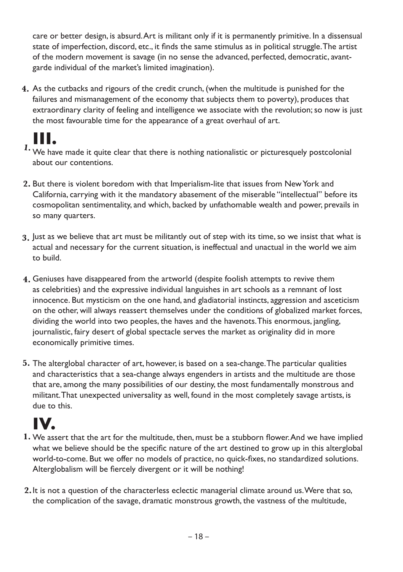care or better design, is absurd. Art is militant only if it is permanently primitive. In a dissensual state of imperfection, discord, etc., it finds the same stimulus as in political struggle. The artist of the modern movement is savage (in no sense the advanced, perfected, democratic, avantgarde individual of the market's limited imagination).

As the cutbacks and rigours of the credit crunch, (when the multitude is punished for the **4.** failures and mismanagement of the economy that subjects them to poverty), produces that extraordinary clarity of feeling and intelligence we associate with the revolution; so now is just the most favourable time for the appearance of a great overhaul of art.

## **III.**

- We have made it quite clear that there is nothing nationalistic or picturesquely postcolonial **1.** about our contentions.
- But there is violent boredom with that Imperialism-lite that issues from New York and **2.**  California, carrying with it the mandatory abasement of the miserable "intellectual" before its cosmopolitan sentimentality, and which, backed by unfathomable wealth and power, prevails in so many quarters.
- Just as we believe that art must be militantly out of step with its time, so we insist that what is **3.** actual and necessary for the current situation, is ineffectual and unactual in the world we aim to build.
- Geniuses have disappeared from the artworld (despite foolish attempts to revive them **4.** as celebrities) and the expressive individual languishes in art schools as a remnant of lost innocence. But mysticism on the one hand, and gladiatorial instincts, aggression and asceticism on the other, will always reassert themselves under the conditions of globalized market forces, dividing the world into two peoples, the haves and the havenots. This enormous, jangling, journalistic, fairy desert of global spectacle serves the market as originality did in more economically primitive times.
- The alterglobal character of art, however, is based on a sea-change. The particular qualities **5.** and characteristics that a sea-change always engenders in artists and the multitude are those that are, among the many possibilities of our destiny, the most fundamentally monstrous and militant. That unexpected universality as well, found in the most completely savage artists, is due to this.

# **IV.**

- 1. We assert that the art for the multitude, then, must be a stubborn flower. And we have implied what we believe should be the specific nature of the art destined to grow up in this alterglobal world-to-come. But we offer no models of practice, no quick-fixes, no standardized solutions. Alterglobalism will be fiercely divergent or it will be nothing!
- It is not a question of the characterless eclectic managerial climate around us. Were that so, **2.** the complication of the savage, dramatic monstrous growth, the vastness of the multitude,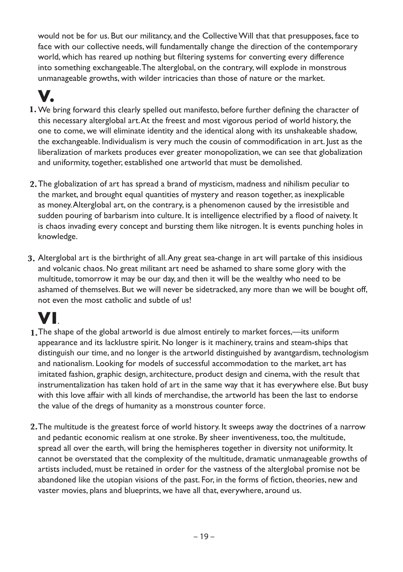would not be for us. But our militancy, and the Collective Will that that presupposes, face to face with our collective needs, will fundamentally change the direction of the contemporary world, which has reared up nothing but filtering systems for converting every difference into something exchangeable. The alterglobal, on the contrary, will explode in monstrous unmanageable growths, with wilder intricacies than those of nature or the market.

## **V.**

- 1. We bring forward this clearly spelled out manifesto, before further defining the character of this necessary alterglobal art. At the freest and most vigorous period of world history, the one to come, we will eliminate identity and the identical along with its unshakeable shadow, the exchangeable. Individualism is very much the cousin of commodification in art. Just as the liberalization of markets produces ever greater monopolization, we can see that globalization and uniformity, together, established one artworld that must be demolished.
- The globalization of art has spread a brand of mysticism, madness and nihilism peculiar to **2.** the market, and brought equal quantities of mystery and reason together, as inexplicable as money. Alterglobal art, on the contrary, is a phenomenon caused by the irresistible and sudden pouring of barbarism into culture. It is intelligence electrified by a flood of naivety. It is chaos invading every concept and bursting them like nitrogen. It is events punching holes in knowledge.
- Alterglobal art is the birthright of all. Any great sea-change in art will partake of this insidious **3.** and volcanic chaos. No great militant art need be ashamed to share some glory with the multitude, tomorrow it may be our day, and then it will be the wealthy who need to be ashamed of themselves. But we will never be sidetracked, any more than we will be bought off, not even the most catholic and subtle of us!

# **VI**.

- The shape of the global artworld is due almost entirely to market forces,—its uniform **1.** appearance and its lacklustre spirit. No longer is it machinery, trains and steam-ships that distinguish our time, and no longer is the artworld distinguished by avantgardism, technologism and nationalism. Looking for models of successful accommodation to the market, art has imitated fashion, graphic design, architecture, product design and cinema, with the result that instrumentalization has taken hold of art in the same way that it has everywhere else. But busy with this love affair with all kinds of merchandise, the artworld has been the last to endorse the value of the dregs of humanity as a monstrous counter force.
- The multitude is the greatest force of world history. It sweeps away the doctrines of a narrow **2.**and pedantic economic realism at one stroke. By sheer inventiveness, too, the multitude, spread all over the earth, will bring the hemispheres together in diversity not uniformity. It cannot be overstated that the complexity of the multitude, dramatic unmanageable growths of artists included, must be retained in order for the vastness of the alterglobal promise not be abandoned like the utopian visions of the past. For, in the forms of fiction, theories, new and vaster movies, plans and blueprints, we have all that, everywhere, around us.